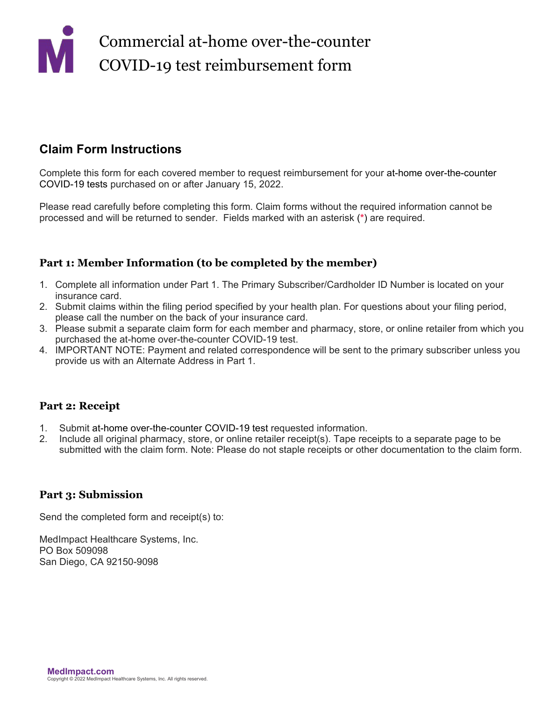## **Claim Form Instructions**

Complete this form for each covered member to request reimbursement for your at-home over-the-counter COVID-19 tests purchased on or after January 15, 2022.

Please read carefully before completing this form. Claim forms without the required information cannot be processed and will be returned to sender. Fields marked with an asterisk (**\***) are required.

## **Part 1: Member Information (to be completed by the member)**

- 1. Complete all information under Part 1. The Primary Subscriber/Cardholder ID Number is located on your insurance card.
- 2. Submit claims within the filing period specified by your health plan. For questions about your filing period, please call the number on the back of your insurance card.
- 3. Please submit a separate claim form for each member and pharmacy, store, or online retailer from which you purchased the at-home over-the-counter COVID-19 test.
- 4. IMPORTANT NOTE: Payment and related correspondence will be sent to the primary subscriber unless you provide us with an Alternate Address in Part 1.

### **Part 2: Receipt**

- 1. Submit at-home over-the-counter COVID-19 test requested information.
- 2. Include all original pharmacy, store, or online retailer receipt(s). Tape receipts to a separate page to be submitted with the claim form. Note: Please do not staple receipts or other documentation to the claim form.

### **Part 3: Submission**

Send the completed form and receipt(s) to:

MedImpact Healthcare Systems, Inc. PO Box 509098 San Diego, CA 92150-9098